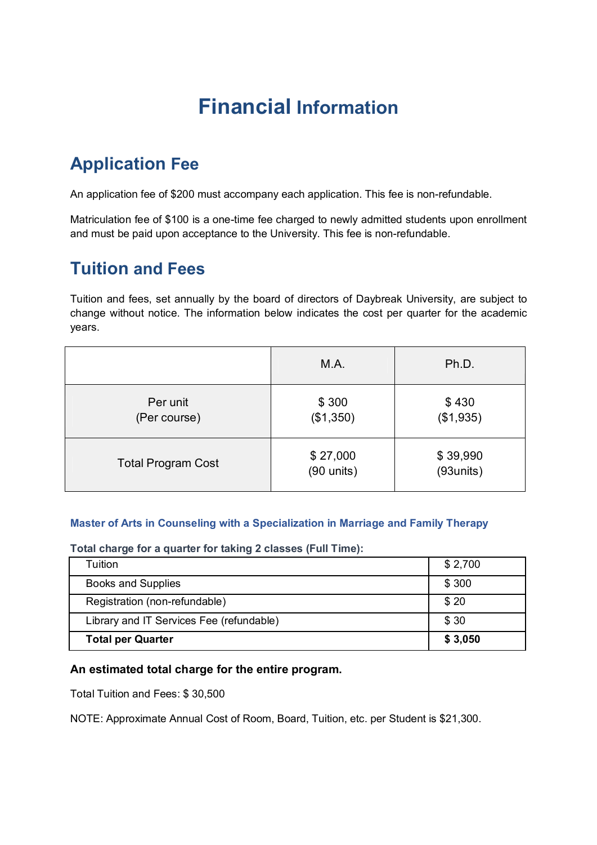# **Financial Information**

# **Application Fee**

An application fee of \$200 must accompany each application. This fee is non-refundable.

Matriculation fee of \$100 is a one-time fee charged to newly admitted students upon enrollment and must be paid upon acceptance to the University. This fee is non-refundable.

# **Tuition and Fees**

Tuition and fees, set annually by the board of directors of Daybreak University, are subject to change without notice. The information below indicates the cost per quarter for the academic years.

|                           | M.A.                     | Ph.D.                 |
|---------------------------|--------------------------|-----------------------|
| Per unit<br>(Per course)  | \$300<br>(\$1,350)       | \$430<br>(\$1,935)    |
| <b>Total Program Cost</b> | \$27,000<br>$(90$ units) | \$39,990<br>(93units) |

#### **Master of Arts in Counseling with a Specialization in Marriage and Family Therapy**

**Total charge for a quarter for taking 2 classes (Full Time):**

| Tuition                                  | \$2,700 |
|------------------------------------------|---------|
| <b>Books and Supplies</b>                | \$300   |
| Registration (non-refundable)            | \$20    |
| Library and IT Services Fee (refundable) | \$30    |
| <b>Total per Quarter</b>                 | \$3,050 |

#### **An estimated total charge for the entire program.**

Total Tuition and Fees: \$ 30,500

NOTE: Approximate Annual Cost of Room, Board, Tuition, etc. per Student is \$21,300.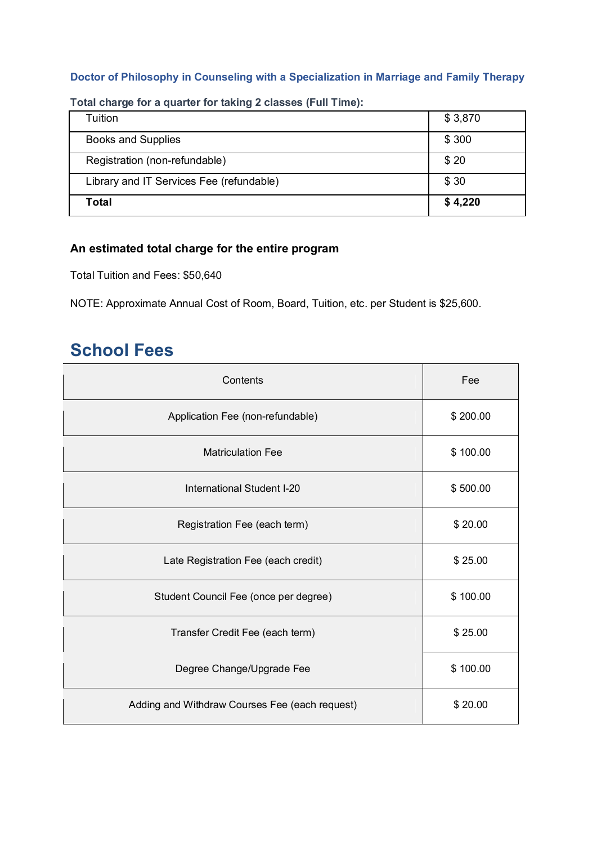#### **Doctor of Philosophy in Counseling with a Specialization in Marriage and Family Therapy**

| Tuition                                  | \$3,870 |
|------------------------------------------|---------|
| <b>Books and Supplies</b>                | \$300   |
| Registration (non-refundable)            | \$20    |
| Library and IT Services Fee (refundable) | \$30    |
| <b>Total</b>                             | \$4,220 |

**Total charge for a quarter for taking 2 classes (Full Time):**

### **An estimated total charge for the entire program**

Total Tuition and Fees: \$50,640

NOTE: Approximate Annual Cost of Room, Board, Tuition, etc. per Student is \$25,600.

# **School Fees**

| Contents                                       | Fee      |
|------------------------------------------------|----------|
| Application Fee (non-refundable)               | \$200.00 |
| <b>Matriculation Fee</b>                       | \$100.00 |
| International Student I-20                     | \$500.00 |
| Registration Fee (each term)                   | \$20.00  |
| Late Registration Fee (each credit)            | \$25.00  |
| Student Council Fee (once per degree)          | \$100.00 |
| Transfer Credit Fee (each term)                | \$25.00  |
| Degree Change/Upgrade Fee                      | \$100.00 |
| Adding and Withdraw Courses Fee (each request) | \$20.00  |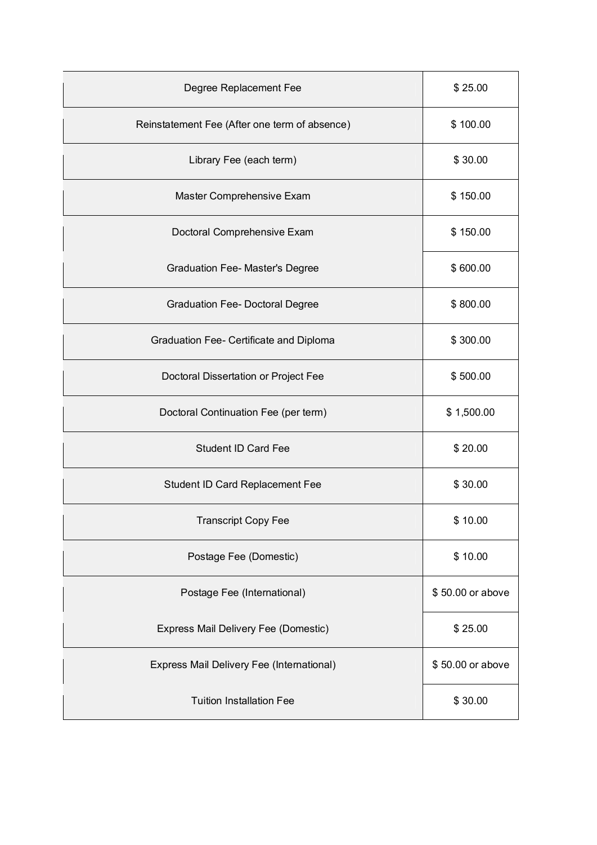| Degree Replacement Fee                        | \$25.00          |
|-----------------------------------------------|------------------|
| Reinstatement Fee (After one term of absence) | \$100.00         |
| Library Fee (each term)                       | \$30.00          |
| Master Comprehensive Exam                     | \$150.00         |
| Doctoral Comprehensive Exam                   | \$150.00         |
| <b>Graduation Fee-Master's Degree</b>         | \$600.00         |
| <b>Graduation Fee- Doctoral Degree</b>        | \$800.00         |
| Graduation Fee- Certificate and Diploma       | \$300.00         |
| Doctoral Dissertation or Project Fee          | \$500.00         |
| Doctoral Continuation Fee (per term)          | \$1,500.00       |
| <b>Student ID Card Fee</b>                    | \$20.00          |
| Student ID Card Replacement Fee               | \$30.00          |
| <b>Transcript Copy Fee</b>                    | \$10.00          |
| Postage Fee (Domestic)                        | \$10.00          |
| Postage Fee (International)                   | \$50.00 or above |
| Express Mail Delivery Fee (Domestic)          | \$25.00          |
| Express Mail Delivery Fee (International)     | \$50.00 or above |
| <b>Tuition Installation Fee</b>               | \$30.00          |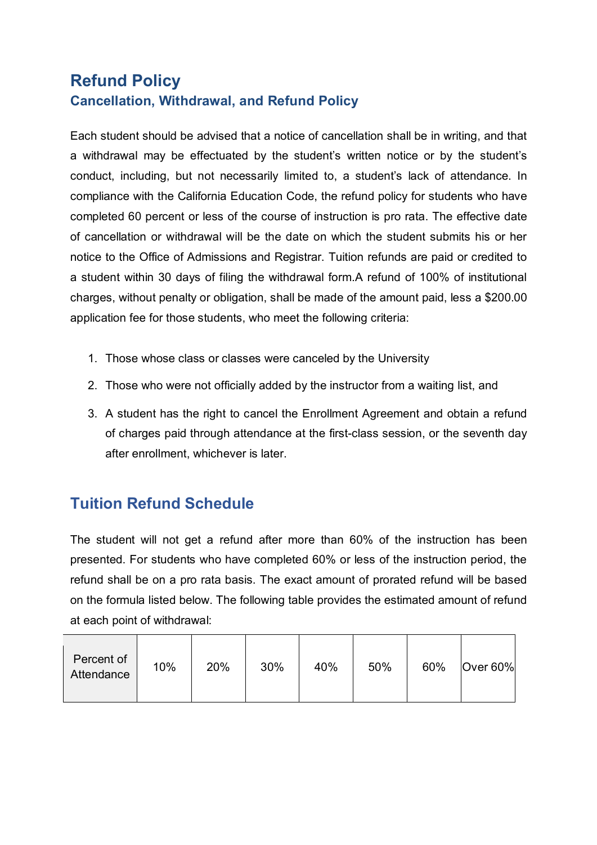### **Refund Policy Cancellation, Withdrawal, and Refund Policy**

Each student should be advised that a notice of cancellation shall be in writing, and that a withdrawal may be effectuated by the student's written notice or by the student's conduct, including, but not necessarily limited to, a student's lack of attendance. In compliance with the California Education Code, the refund policy for students who have completed 60 percent or less of the course of instruction is pro rata. The effective date of cancellation or withdrawal will be the date on which the student submits his or her notice to the Office of Admissions and Registrar. Tuition refunds are paid or credited to a student within 30 days of filing the withdrawal form.A refund of 100% of institutional charges, without penalty or obligation, shall be made of the amount paid, less a \$200.00 application fee for those students, who meet the following criteria:

- 1. Those whose class or classes were canceled by the University
- 2. Those who were not officially added by the instructor from a waiting list, and
- 3. A student has the right to cancel the Enrollment Agreement and obtain a refund of charges paid through attendance at the first-class session, or the seventh day after enrollment, whichever is later.

### **Tuition Refund Schedule**

The student will not get a refund after more than 60% of the instruction has been presented. For students who have completed 60% or less of the instruction period, the refund shall be on a pro rata basis. The exact amount of prorated refund will be based on the formula listed below. The following table provides the estimated amount of refund at each point of withdrawal:

| Percent of<br>Attendance | 10% | 20% | 30% | 40% | 50% | 60% | Over $60\%$ |
|--------------------------|-----|-----|-----|-----|-----|-----|-------------|
|                          |     |     |     |     |     |     |             |